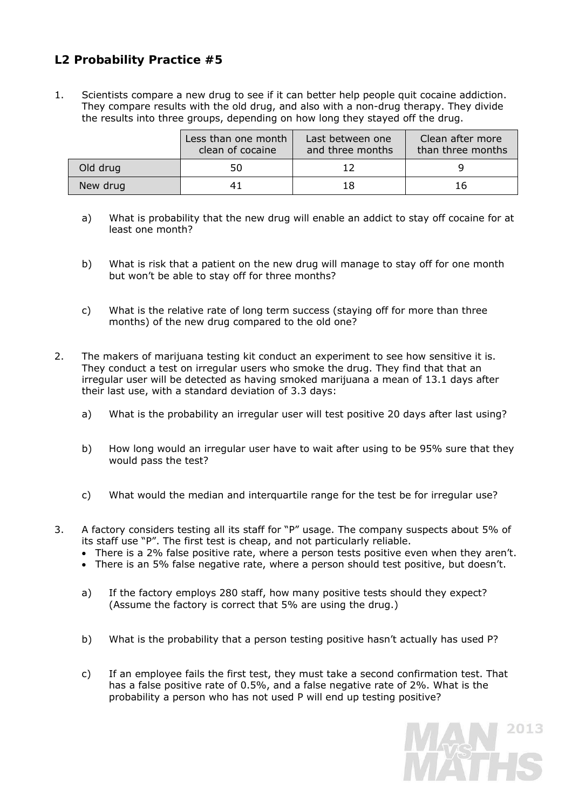## **L2 Probability Practice #5**

1. Scientists compare a new drug to see if it can better help people quit cocaine addiction. They compare results with the old drug, and also with a non-drug therapy. They divide the results into three groups, depending on how long they stayed off the drug.

|          | Less than one month<br>clean of cocaine | Last between one<br>and three months | Clean after more<br>than three months |
|----------|-----------------------------------------|--------------------------------------|---------------------------------------|
| Old drug | 50                                      |                                      |                                       |
| New drug |                                         | 18                                   | 16                                    |

- a) What is probability that the new drug will enable an addict to stay off cocaine for at least one month?
- b) What is risk that a patient on the new drug will manage to stay off for one month but won't be able to stay off for three months?
- c) What is the relative rate of long term success (staying off for more than three months) of the new drug compared to the old one?
- 2. The makers of marijuana testing kit conduct an experiment to see how sensitive it is. They conduct a test on irregular users who smoke the drug. They find that that an irregular user will be detected as having smoked marijuana a mean of 13.1 days after their last use, with a standard deviation of 3.3 days:
	- a) What is the probability an irregular user will test positive 20 days after last using?
	- b) How long would an irregular user have to wait after using to be 95% sure that they would pass the test?
	- c) What would the median and interquartile range for the test be for irregular use?
- 3. A factory considers testing all its staff for "P" usage. The company suspects about 5% of its staff use "P". The first test is cheap, and not particularly reliable.
	- There is a 2% false positive rate, where a person tests positive even when they aren't.
	- There is an 5% false negative rate, where a person should test positive, but doesn't.
	- a) If the factory employs 280 staff, how many positive tests should they expect? (Assume the factory is correct that 5% are using the drug.)
	- b) What is the probability that a person testing positive hasn't actually has used P?
	- c) If an employee fails the first test, they must take a second confirmation test. That has a false positive rate of 0.5%, and a false negative rate of 2%. What is the probability a person who has not used P will end up testing positive?